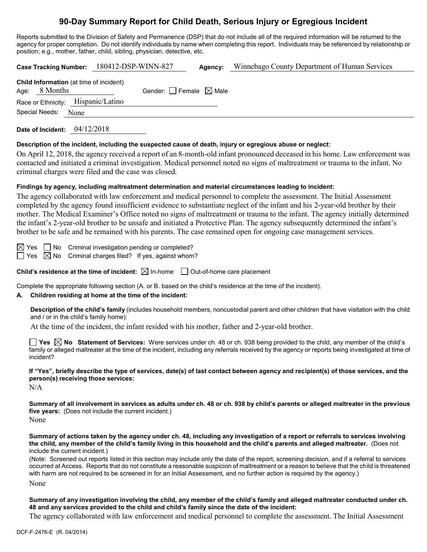## **90-Day Summary Report for Child Death, Serious Injury or Egregious Incident**

Reports submitted to the Division of Safety and Permanence (DSP) that do not include all of the required information will be returned to the agency for proper completion. Do not identify individuals by name when completing this report. Individuals may be referenced by relationship or position; e.g., mother, father, child, sibling, physician, detective, etc.

|                                                                 | Case Tracking Number: 180412-DSP-WINN-827 | Agency: | Winnebago County Department of Human Services |
|-----------------------------------------------------------------|-------------------------------------------|---------|-----------------------------------------------|
| <b>Child Information</b> (at time of incident)<br>Age: 8 Months | Gender: Female $\boxtimes$ Male           |         |                                               |
| Race or Ethnicity: Hispanic/Latino                              |                                           |         |                                               |
| Special Needs:<br>None                                          |                                           |         |                                               |
| 04/12/2018<br>Date of Incident:                                 |                                           |         |                                               |

#### **Description of the incident, including the suspected cause of death, injury or egregious abuse or neglect:**

On April 12, 2018, the agency received a report of an 8-month-old infant pronounced deceased in his home. Law enforcement was contacted and initiated a criminal investigation. Medical personnel noted no signs of maltreatment or trauma to the infant. No criminal charges were filed and the case was closed.

### **Findings by agency, including maltreatment determination and material circumstances leading to incident:**

The agency collaborated with law enforcement and medical personnel to complete the assessment. The Initial Assessment completed by the agency found insufficient evidence to substantiate neglect of the infant and his 2-year-old brother by their mother. The Medical Examiner's Office noted no signs of maltreatment or trauma to the infant. The agency initially determined the infant's 2-year-old brother to be unsafe and initiated a Protective Plan. The agency subsequently determined the infant's brother to be safe and he remained with his parents. The case remained open for ongoing case management services.

 $\boxtimes$  Yes  $\Box$  No Criminal investigation pending or completed?  $\Box$  Yes  $\boxtimes$  No Criminal charges filed? If yes, against whom?

**Child's residence at the time of incident:**  $\boxtimes$  In-home  $\Box$  Out-of-home care placement

Complete the appropriate following section (A. or B. based on the child's residence at the time of the incident).

### **A. Children residing at home at the time of the incident:**

**Description of the child's family** (includes household members, noncustodial parent and other children that have visitation with the child and / or in the child's family home):

At the time of the incident, the infant resided with his mother, father and 2-year-old brother.

**Yes No Statement of Services:** Were services under ch. 48 or ch. 938 being provided to the child, any member of the child's family or alleged maltreater at the time of the incident, including any referrals received by the agency or reports being investigated at time of incident?

**If "Yes", briefly describe the type of services, date(s) of last contact between agency and recipient(s) of those services, and the person(s) receiving those services:**

N/A

**Summary of all involvement in services as adults under ch. 48 or ch. 938 by child's parents or alleged maltreater in the previous five years:** (Does not include the current incident.)

None

**Summary of actions taken by the agency under ch. 48, including any investigation of a report or referrals to services involving the child, any member of the child's family living in this household and the child's parents and alleged maltreater.** (Does not include the current incident.)

(Note: Screened out reports listed in this section may include only the date of the report, screening decision, and if a referral to services occurred at Access. Reports that do not constitute a reasonable suspicion of maltreatment or a reason to believe that the child is threatened with harm are not required to be screened in for an Initial Assessment, and no further action is required by the agency.)

None

**Summary of any investigation involving the child, any member of the child's family and alleged maltreater conducted under ch. 48 and any services provided to the child and child's family since the date of the incident:**

The agency collaborated with law enforcement and medical personnel to complete the assessment. The Initial Assessment